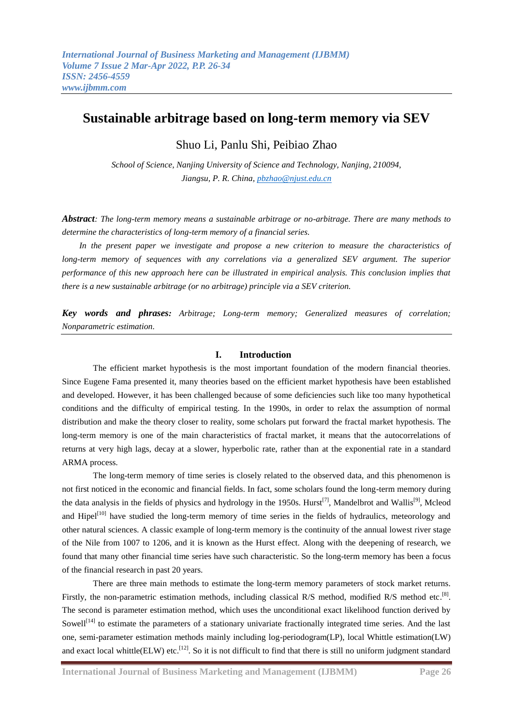# **Sustainable arbitrage based on long-term memory via SEV**

Shuo Li, Panlu Shi, Peibiao Zhao

*School of Science, Nanjing University of Science and Technology, Nanjing, 210094, Jiangsu, P. R. China, [pbzhao@njust.edu.cn](mailto:pbzhao@njust.edu.cn)*

*Abstract: The long-term memory means a sustainable arbitrage or no-arbitrage. There are many methods to determine the characteristics of long-term memory of a financial series.*

*In the present paper we investigate and propose a new criterion to measure the characteristics of*  long-term memory of sequences with any correlations via a generalized SEV argument. The superior *performance of this new approach here can be illustrated in empirical analysis. This conclusion implies that there is a new sustainable arbitrage (or no arbitrage) principle via a SEV criterion.*

*Key words and phrases: Arbitrage; Long-term memory; Generalized measures of correlation; Nonparametric estimation.*

## **I. Introduction**

The efficient market hypothesis is the most important foundation of the modern financial theories. Since Eugene Fama presented it, many theories based on the efficient market hypothesis have been established and developed. However, it has been challenged because of some deficiencies such like too many hypothetical conditions and the difficulty of empirical testing. In the 1990s, in order to relax the assumption of normal distribution and make the theory closer to reality, some scholars put forward the fractal market hypothesis. The long-term memory is one of the main characteristics of fractal market, it means that the autocorrelations of returns at very high lags, decay at a slower, hyperbolic rate, rather than at the exponential rate in a standard ARMA process.

The long-term memory of time series is closely related to the observed data, and this phenomenon is not first noticed in the economic and financial fields. In fact, some scholars found the long-term memory during the data analysis in the fields of physics and hydrology in the 1950s. Hurst<sup>[\[7\]](#page-8-0)</sup>, Mandelbrot and Wallis<sup>[\[9\]](#page-8-1)</sup>, Mcleod and Hipel<sup>[\[10\]](#page-8-2)</sup> have studied the long-term memory of time series in the fields of hydraulics, meteorology and other natural sciences. A classic example of long-term memory is the continuity of the annual lowest river stage of the Nile from 1007 to 1206, and it is known as the Hurst effect. Along with the deepening of research, we found that many other financial time series have such characteristic. So the long-term memory has been a focus of the financial research in past 20 years.

There are three main methods to estimate the long-term memory parameters of stock market returns. Firstly, the non-parametric estimation methods, including classical R/S method, modified R/S method etc.<sup>[\[8\]](#page-8-3)</sup>. The second is parameter estimation method, which uses the unconditional exact likelihood function derived by Sowell<sup>[\[14\]](#page-8-4)</sup> to estimate the parameters of a stationary univariate fractionally integrated time series. And the last one, semi-parameter estimation methods mainly including log-periodogram(LP), local Whittle estimation(LW) and exact local whittle(ELW) etc.<sup>[\[12\]](#page-8-5)</sup>. So it is not difficult to find that there is still no uniform judgment standard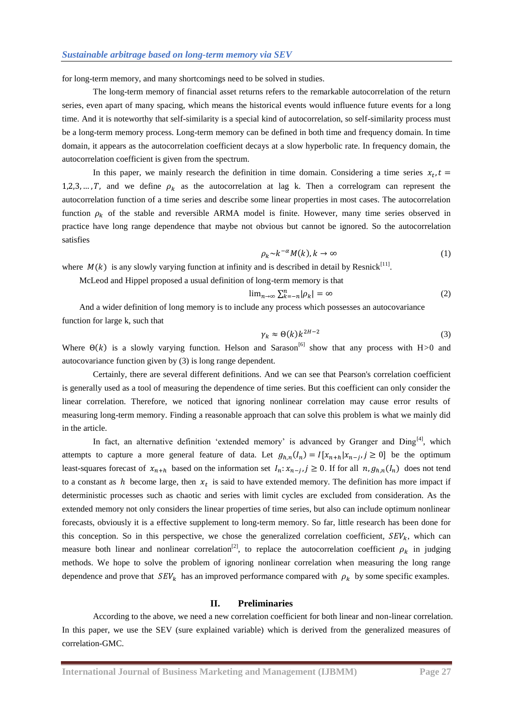for long-term memory, and many shortcomings need to be solved in studies.

The long-term memory of financial asset returns refers to the remarkable autocorrelation of the return series, even apart of many spacing, which means the historical events would influence future events for a long time. And it is noteworthy that self-similarity is a special kind of autocorrelation, so self-similarity process must be a long-term memory process. Long-term memory can be defined in both time and frequency domain. In time domain, it appears as the autocorrelation coefficient decays at a slow hyperbolic rate. In frequency domain, the autocorrelation coefficient is given from the spectrum.

In this paper, we mainly research the definition in time domain. Considering a time series  $x_t$ , 1,2,3, ..., T, and we define  $\rho_k$  as the autocorrelation at lag k. Then a correlogram can represent the autocorrelation function of a time series and describe some linear properties in most cases. The autocorrelation function  $\rho_k$  of the stable and reversible ARMA model is finite. However, many time series observed in practice have long range dependence that maybe not obvious but cannot be ignored. So the autocorrelation satisfies

$$
\rho_k \sim k^{-\alpha} M(k), k \to \infty \tag{1}
$$

where  $M(k)$  is any slowly varying function at infinity and is described in detail by Resnick<sup>[\[11\]](#page-8-6)</sup>.

McLeod and Hippel proposed a usual definition of long-term memory is that

$$
\lim_{n \to \infty} \sum_{k=-n}^{n} |\rho_k| = \infty
$$
 (2)

And a wider definition of long memory is to include any process which possesses an autocovariance function for large k, such that

$$
\gamma_k \approx \Theta(k) k^{2H-2} \tag{3}
$$

Where  $\Theta(k)$  is a slowly varying function. Helson and Sarason<sup>[\[6\]](#page-8-7)</sup> show that any process with H $>0$  and autocovariance function given by (3) is long range dependent.

Certainly, there are several different definitions. And we can see that Pearson's correlation coefficient is generally used as a tool of measuring the dependence of time series. But this coefficient can only consider the linear correlation. Therefore, we noticed that ignoring nonlinear correlation may cause error results of measuring long-term memory. Finding a reasonable approach that can solve this problem is what we mainly did in the article.

In fact, an alternative definition 'extended memory' is advanced by Granger and  $\text{Ding}^{\{4\}}$ , which attempts to capture a more general feature of data. Let  $g_{h,n}(I_n) = I[x_{n+h}|x_{n-h}, j \ge 0]$  be the optimum least-squares forecast of  $x_{n+h}$  based on the information set  $I_n: x_{n-i}$ ,  $j \ge 0$ . If for all  $n, g_{n,n}(I_n)$  does not tend to a constant as h become large, then  $x_t$  is said to have extended memory. The definition has more impact if deterministic processes such as chaotic and series with limit cycles are excluded from consideration. As the extended memory not only considers the linear properties of time series, but also can include optimum nonlinear forecasts, obviously it is a effective supplement to long-term memory. So far, little research has been done for this conception. So in this perspective, we chose the generalized correlation coefficient,  $SEV_k$ , which can measure both linear and nonlinear correlation<sup>[\[2\]](#page-7-0)</sup>, to replace the autocorrelation coefficient  $\rho_k$  in judging methods. We hope to solve the problem of ignoring nonlinear correlation when measuring the long range dependence and prove that  $SEV_k$  has an improved performance compared with  $\rho_k$  by some specific examples.

### **II. Preliminaries**

According to the above, we need a new correlation coefficient for both linear and non-linear correlation. In this paper, we use the SEV (sure explained variable) which is derived from the generalized measures of correlation-GMC.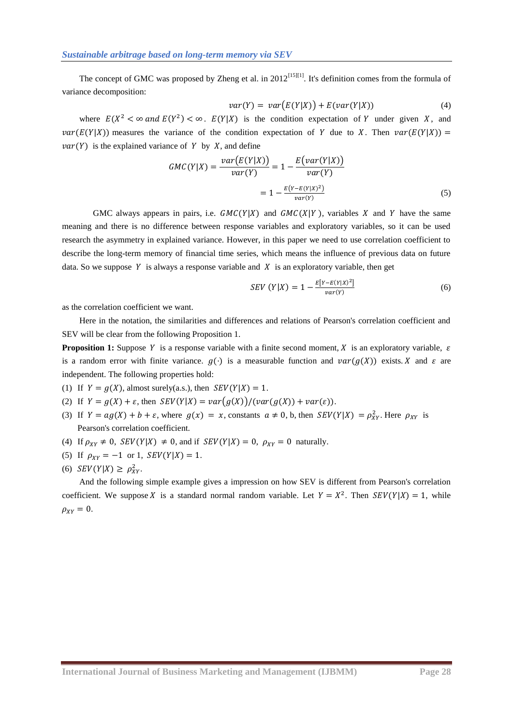The concept of GMC was proposed by Zheng et al. in  $2012^{[15][1]}$  $2012^{[15][1]}$  $2012^{[15][1]}$ . It's definition comes from the formula of variance decomposition:

$$
var(Y) = var(E(Y|X)) + E(var(Y|X))
$$
\n(4)

where  $E(X^2 < \infty$  and  $E(Y^2) < \infty$ .  $E(Y|X)$  is the condition expectation of Y under given X, and  $var(E(Y|X))$  measures the variance of the condition expectation of Y due to X. Then  $var(E(Y|X))$  =  $var(Y)$  is the explained variance of Y by X, and define

$$
GMC(Y|X) = \frac{var(E(Y|X))}{var(Y)} = 1 - \frac{E(var(Y|X))}{var(Y)}
$$

$$
= 1 - \frac{E(Y - E(Y|X)^2)}{var(Y)}
$$
(5)

GMC always appears in pairs, i.e.  $GMC(Y|X)$  and  $GMC(X|Y)$ , variables X and Y have the same meaning and there is no difference between response variables and exploratory variables, so it can be used research the asymmetry in explained variance. However, in this paper we need to use correlation coefficient to describe the long-term memory of financial time series, which means the influence of previous data on future data. So we suppose Y is always a response variable and  $X$  is an exploratory variable, then get

$$
SEV(Y|X) = 1 - \frac{E[Y - E(Y|X)^{2}]}{var(Y)}
$$
(6)

as the correlation coefficient we want.

Here in the notation, the similarities and differences and relations of Pearson's correlation coefficient and SEV will be clear from the following Proposition 1.

**Proposition 1:** Suppose Y is a response variable with a finite second moment, X is an exploratory variable,  $\varepsilon$ is a random error with finite variance.  $g(\cdot)$  is a measurable function and  $var(g(X))$  exists. X and  $\varepsilon$  are independent. The following properties hold:

- (1) If  $Y = g(X)$ , almost surely(a.s.), then  $SEV(Y|X) = 1$ .
- (2) If  $Y = g(X) + \varepsilon$ , then  $SEV(Y|X) = var(g(X)) / (var(g(X)) + var(\varepsilon)).$
- (3) If  $Y = ag(X) + b + \varepsilon$ , where  $g(x) = x$ , constants  $a \neq 0$ , b, then  $SEV(Y|X) = \rho_{XY}^2$ . Here  $\rho_{XY}$  is Pearson's correlation coefficient.
- (4) If  $\rho_{XY} \neq 0$ ,  $SEV(Y|X) \neq 0$ , and if  $SEV(Y|X) = 0$ ,  $\rho_{XY} = 0$  naturally.
- (5) If  $\rho_{XY} = -1$  or 1,  $SEV(Y|X) = 1$ .
- (6)  $SEV(Y|X) \ge \rho_{XY}^2$ .

And the following simple example gives a impression on how SEV is different from Pearson's correlation coefficient. We suppose X is a standard normal random variable. Let  $Y = X^2$ . Then  $SEV(Y|X) = 1$ , while  $\rho_{XY}=0.$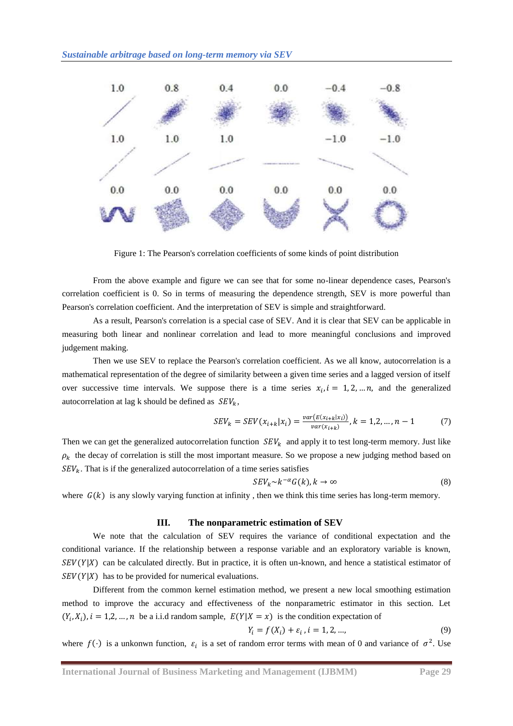

Figure 1: The Pearson's correlation coefficients of some kinds of point distribution

From the above example and figure we can see that for some no-linear dependence cases, Pearson's correlation coefficient is 0. So in terms of measuring the dependence strength, SEV is more powerful than Pearson's correlation coefficient. And the interpretation of SEV is simple and straightforward.

As a result, Pearson's correlation is a special case of SEV. And it is clear that SEV can be applicable in measuring both linear and nonlinear correlation and lead to more meaningful conclusions and improved judgement making.

Then we use SEV to replace the Pearson's correlation coefficient. As we all know, autocorrelation is a mathematical representation of the degree of similarity between a given time series and a lagged version of itself over successive time intervals. We suppose there is a time series  $x_i$ ,  $i = 1, 2, \dots, n$ , and the generalized autocorrelation at lag k should be defined as  $SEV_k$ ,

$$
SEV_k = SEV(x_{i+k}|x_i) = \frac{var(E(x_{i+k}|x_i))}{var(x_{i+k})}, k = 1, 2, ..., n - 1
$$
 (7)

Then we can get the generalized autocorrelation function  $SEV_k$  and apply it to test long-term memory. Just like  $\rho_k$  the decay of correlation is still the most important measure. So we propose a new judging method based on  $SEV<sub>k</sub>$ . That is if the generalized autocorrelation of a time series satisfies

$$
SEV_k \sim k^{-\alpha} G(k), k \to \infty
$$
 (8)

where  $G(k)$  is any slowly varying function at infinity, then we think this time series has long-term memory.

#### **III. The nonparametric estimation of SEV**

We note that the calculation of SEV requires the variance of conditional expectation and the conditional variance. If the relationship between a response variable and an exploratory variable is known,  $SEV(Y|X)$  can be calculated directly. But in practice, it is often un-known, and hence a statistical estimator of  $SEV(Y|X)$  has to be provided for numerical evaluations.

Different from the common kernel estimation method, we present a new local smoothing estimation method to improve the accuracy and effectiveness of the nonparametric estimator in this section. Let  $(Y_i, X_i)$ ,  $i = 1, 2, ..., n$  be a i.i.d random sample,  $E(Y|X = x)$  is the condition expectation of

$$
Y_i = f(X_i) + \varepsilon_i, i = 1, 2, ..., \tag{9}
$$

where  $f(\cdot)$  is a unkonwn function,  $\varepsilon_i$  is a set of random error terms with mean of 0 and variance of  $\sigma^2$ . Use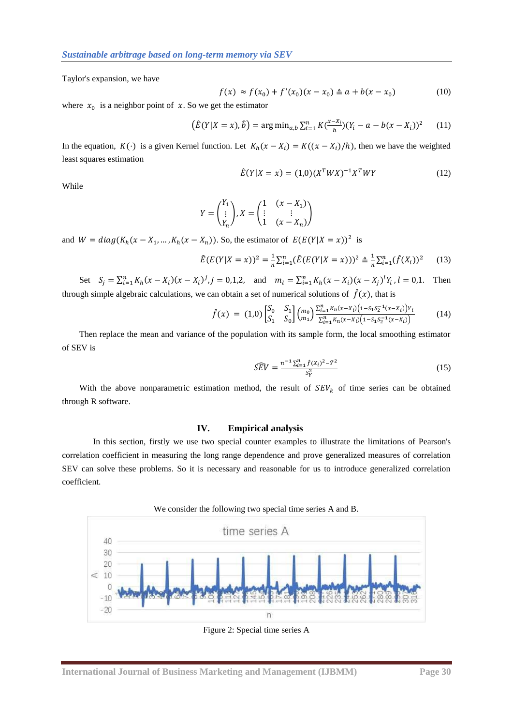Taylor's expansion, we have

$$
f(x) \approx f(x_0) + f'(x_0)(x - x_0) \triangleq a + b(x - x_0)
$$
 (10)

where  $x_0$  is a neighbor point of x. So we get the estimator

$$
(\hat{E}(Y|X=x),\hat{b}) = \arg\min_{a,b} \sum_{i=1}^{n} K(\frac{x - x_i}{h})(Y_i - a - b(x - X_i))^2
$$
 (11)

In the equation,  $K(\cdot)$  is a given Kernel function. Let  $K_h(x - X_i) = K((x - X_i)/h)$ , then we have the weighted least squares estimation

$$
\hat{E}(Y|X=x) = (1,0)(X^TWX)^{-1}X^TWY
$$
\n(12)

While

$$
Y = \begin{pmatrix} Y_1 \\ \vdots \\ Y_n \end{pmatrix}, X = \begin{pmatrix} 1 & (x - X_1) \\ \vdots & \vdots \\ 1 & (x - X_n) \end{pmatrix}
$$

and  $W = diag(K_h(x - X_1, ..., K_h(x - X_n))$ . So, the estimator of  $E(E(Y|X = x))^2$  is

$$
\hat{E}(E(Y|X=x))^2 = \frac{1}{n}\sum_{i=1}^n (\hat{E}(E(Y|X=x)))^2 \triangleq \frac{1}{n}\sum_{i=1}^n (\hat{f}(X_i))^2
$$
 (13)

Set 
$$
S_j = \sum_{i=1}^n K_h(x - X_i)(x - X_i)^j
$$
,  $j = 0,1,2$ , and  $m_l = \sum_{i=1}^n K_h(x - X_i)(x - X_j)^l Y_i$ ,  $l = 0,1$ . Then  
through simple algebraic calculations, we can obtain a set of numerical solutions of  $\hat{f}(x)$ , that is

$$
\hat{f}(x) = (1,0) \begin{bmatrix} S_0 & S_1 \\ S_1 & S_0 \end{bmatrix} {m_0 \choose m_1} \frac{\sum_{i=1}^n K_n(x-x_i) (1-S_1S_2^{-1}(x-x_i)) Y_i}{\sum_{i=1}^n K_n(x-x_i) (1-S_1S_2^{-1}(x-x_i))}
$$
(14)

Then replace the mean and variance of the population with its sample form, the local smoothing estimator of SEV is

$$
\widehat{SEV} = \frac{n^{-1} \sum_{i=1}^{n} \hat{f}(X_i)^2 - \bar{Y}^2}{S_Y^2}
$$
\n(15)

With the above nonparametric estimation method, the result of  $SEV_k$  of time series can be obtained through R software.

## **IV. Empirical analysis**

In this section, firstly we use two special counter examples to illustrate the limitations of Pearson's correlation coefficient in measuring the long range dependence and prove generalized measures of correlation SEV can solve these problems. So it is necessary and reasonable for us to introduce generalized correlation coefficient.



Figure 2: Special time series A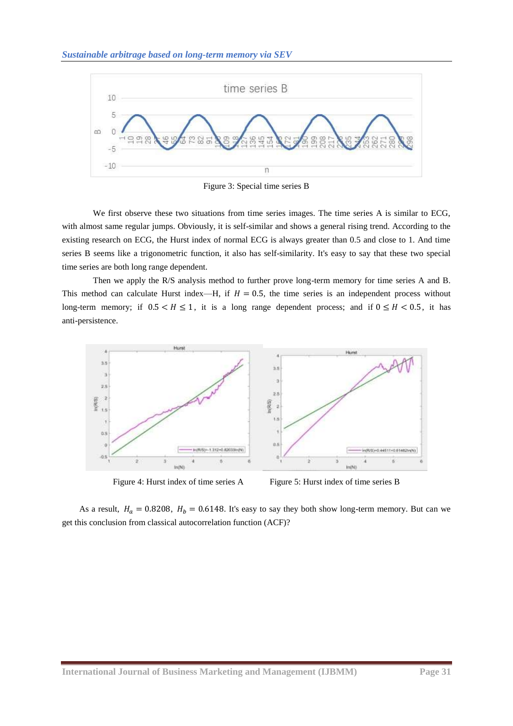

Figure 3: Special time series B

We first observe these two situations from time series images. The time series A is similar to ECG, with almost same regular jumps. Obviously, it is self-similar and shows a general rising trend. According to the existing research on ECG, the Hurst index of normal ECG is always greater than 0.5 and close to 1. And time series B seems like a trigonometric function, it also has self-similarity. It's easy to say that these two special time series are both long range dependent.

Then we apply the R/S analysis method to further prove long-term memory for time series A and B. This method can calculate Hurst index—H, if  $H = 0.5$ , the time series is an independent process without long-term memory; if  $0.5 < H \le 1$ , it is a long range dependent process; and if  $0 \le H < 0.5$ , it has anti-persistence.



Figure 4: Hurst index of time series A Figure 5: Hurst index of time series B

As a result,  $H_a = 0.8208$ ,  $H_b = 0.6148$ . It's easy to say they both show long-term memory. But can we get this conclusion from classical autocorrelation function (ACF)?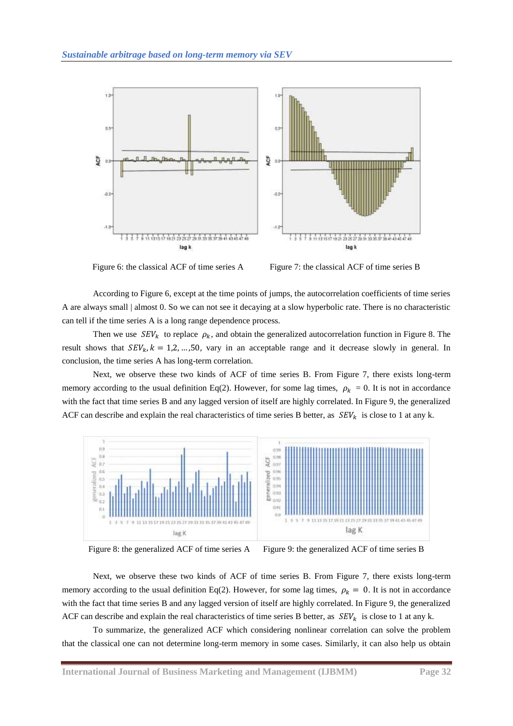

Figure 6: the classical ACF of time series A Figure 7: the classical ACF of time series B

According to Figure 6, except at the time points of jumps, the autocorrelation coefficients of time series A are always small | almost 0. So we can not see it decaying at a slow hyperbolic rate. There is no characteristic can tell if the time series A is a long range dependence process.

Then we use  $SEV_k$  to replace  $\rho_k$ , and obtain the generalized autocorrelation function in Figure 8. The result shows that  $SEV_k$ ,  $k = 1, 2, ..., 50$ , vary in an acceptable range and it decrease slowly in general. In conclusion, the time series A has long-term correlation.

Next, we observe these two kinds of ACF of time series B. From Figure 7, there exists long-term memory according to the usual definition Eq(2). However, for some lag times,  $\rho_k = 0$ . It is not in accordance with the fact that time series B and any lagged version of itself are highly correlated. In Figure 9, the generalized ACF can describe and explain the real characteristics of time series B better, as  $SEV_k$  is close to 1 at any k.



Figure 8: the generalized ACF of time series A Figure 9: the generalized ACF of time series B

Next, we observe these two kinds of ACF of time series B. From Figure 7, there exists long-term memory according to the usual definition Eq(2). However, for some lag times,  $\rho_k = 0$ . It is not in accordance with the fact that time series B and any lagged version of itself are highly correlated. In Figure 9, the generalized ACF can describe and explain the real characteristics of time series B better, as  $SEV_k$  is close to 1 at any k.

To summarize, the generalized ACF which considering nonlinear correlation can solve the problem that the classical one can not determine long-term memory in some cases. Similarly, it can also help us obtain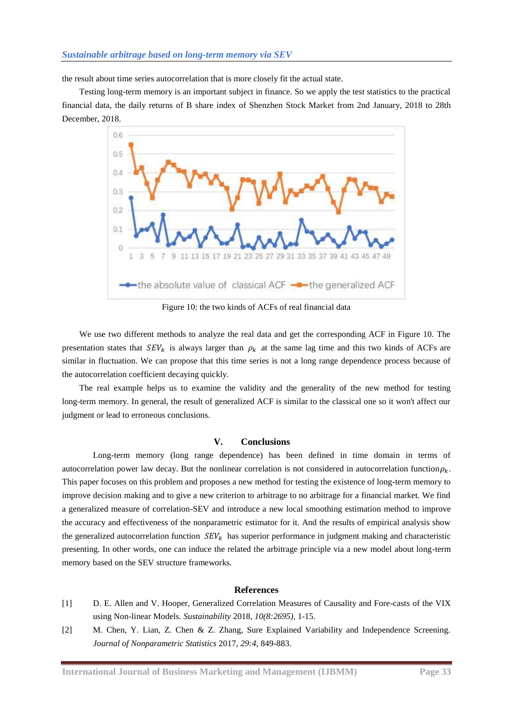the result about time series autocorrelation that is more closely fit the actual state.

Testing long-term memory is an important subject in finance. So we apply the test statistics to the practical financial data, the daily returns of B share index of Shenzhen Stock Market from 2nd January, 2018 to 28th December, 2018.



Figure 10: the two kinds of ACFs of real financial data

We use two different methods to analyze the real data and get the corresponding ACF in Figure 10. The presentation states that  $SEV_k$  is always larger than  $\rho_k$  at the same lag time and this two kinds of ACFs are similar in fluctuation. We can propose that this time series is not a long range dependence process because of the autocorrelation coefficient decaying quickly.

The real example helps us to examine the validity and the generality of the new method for testing long-term memory. In general, the result of generalized ACF is similar to the classical one so it won't affect our judgment or lead to erroneous conclusions.

#### **V. Conclusions**

Long-term memory (long range dependence) has been defined in time domain in terms of autocorrelation power law decay. But the nonlinear correlation is not considered in autocorrelation function  $\rho_k$ . This paper focuses on this problem and proposes a new method for testing the existence of long-term memory to improve decision making and to give a new criterion to arbitrage to no arbitrage for a financial market. We find a generalized measure of correlation-SEV and introduce a new local smoothing estimation method to improve the accuracy and effectiveness of the nonparametric estimator for it. And the results of empirical analysis show the generalized autocorrelation function  $SEV_k$  has superior performance in judgment making and characteristic presenting. In other words, one can induce the related the arbitrage principle via a new model about long-term memory based on the SEV structure frameworks.

## **References**

- [1] D. E. Allen and V. Hooper, Generalized Correlation Measures of Causality and Fore-casts of the VIX using Non-linear Models. *Sustainability* 2018, *10(8:2695)*, 1-15.
- <span id="page-7-0"></span>[2] M. Chen, Y. Lian, Z. Chen & Z. Zhang, Sure Explained Variability and Independence Screening. *Journal of Nonparametric Statistics* 2017, *29:4*, 849-883.